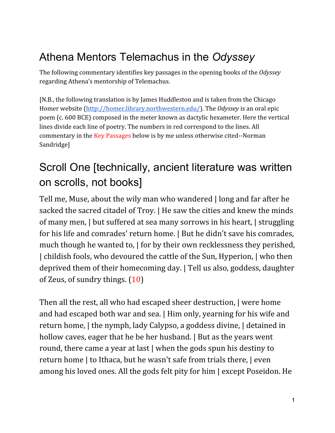# Athena Mentors Telemachus in the *Odyssey*

The following commentary identifies key passages in the opening books of the *Odyssey* regarding Athena's mentorship of Telemachus.

[N.B., the following translation is by James Huddleston and is taken from the Chicago Homer website (<http://homer.library.northwestern.edu/>). The *Odyssey* is an oral epic poem (c. 600 BCE) composed in the meter known as dactylic hexameter. Here the vertical lines divide each line of poetry. The numbers in red correspond to the lines. All commentary in the Key Passages below is by me unless otherwise cited--Norman Sandridge]

# Scroll One [technically, ancient literature was written on scrolls, not books]

Tell me, Muse, about the wily man who wandered | long and far after he sacked the sacred citadel of Troy. | He saw the cities and knew the minds of many men, | but suffered at sea many sorrows in his heart, | struggling for his life and comrades' return home. | But he didn't save his comrades, much though he wanted to,  $\vert$  for by their own recklessness they perished, | childish fools, who devoured the cattle of the Sun, Hyperion, | who then deprived them of their homecoming day. | Tell us also, goddess, daughter of Zeus, of sundry things. (10)

Then all the rest, all who had escaped sheer destruction, | were home and had escaped both war and sea. | Him only, yearning for his wife and return home, | the nymph, lady Calypso, a goddess divine, | detained in hollow caves, eager that he be her husband. | But as the years went round, there came a year at last | when the gods spun his destiny to return home | to Ithaca, but he wasn't safe from trials there, | even among his loved ones. All the gods felt pity for him | except Poseidon. He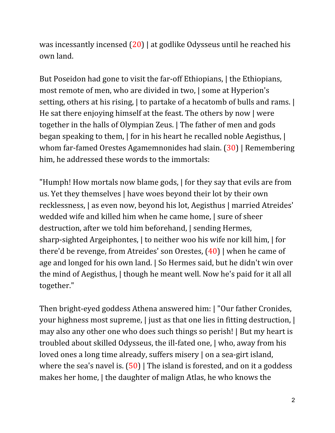was incessantly incensed  $(20)$  at godlike Odysseus until he reached his own land.

But Poseidon had gone to visit the far-off Ethiopians, | the Ethiopians, most remote of men, who are divided in two, | some at Hyperion's setting, others at his rising, | to partake of a hecatomb of bulls and rams. | He sat there enjoying himself at the feast. The others by now | were together in the halls of Olympian Zeus. | The father of men and gods began speaking to them, | for in his heart he recalled noble Aegisthus, | whom far-famed Orestes Agamemnonides had slain. (30) | Remembering him, he addressed these words to the immortals:

"Humph! How mortals now blame gods, | for they say that evils are from us. Yet they themselves | have woes beyond their lot by their own recklessness, | as even now, beyond his lot, Aegisthus | married Atreides' wedded wife and killed him when he came home, | sure of sheer destruction, after we told him beforehand, | sending Hermes, sharp-sighted Argeiphontes, | to neither woo his wife nor kill him, | for there'd be revenge, from Atreides' son Orestes, (40) | when he came of age and longed for his own land. | So Hermes said, but he didn't win over the mind of Aegisthus, | though he meant well. Now he's paid for it all all together."

Then bright-eyed goddess Athena answered him: | "Our father Cronides, your highness most supreme, | just as that one lies in fitting destruction, | may also any other one who does such things so perish! | But my heart is troubled about skilled Odysseus, the ill-fated one, | who, away from his loved ones a long time already, suffers misery | on a sea-girt island, where the sea's navel is.  $(50)$  | The island is forested, and on it a goddess makes her home, | the daughter of malign Atlas, he who knows the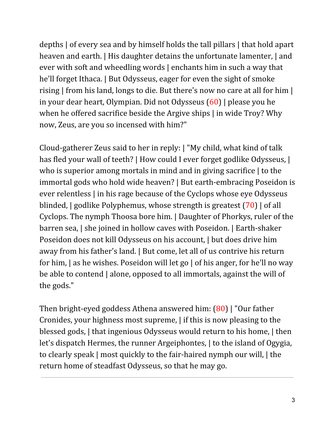depths | of every sea and by himself holds the tall pillars | that hold apart heaven and earth. | His daughter detains the unfortunate lamenter, | and ever with soft and wheedling words | enchants him in such a way that he'll forget Ithaca. | But Odysseus, eager for even the sight of smoke rising | from his land, longs to die. But there's now no care at all for him | in your dear heart, Olympian. Did not Odysseus (60) | please you he when he offered sacrifice beside the Argive ships | in wide Troy? Why now, Zeus, are you so incensed with him?"

Cloud-gatherer Zeus said to her in reply: | "My child, what kind of talk has fled your wall of teeth? | How could I ever forget godlike Odysseus, | who is superior among mortals in mind and in giving sacrifice | to the immortal gods who hold wide heaven? | But earth-embracing Poseidon is ever relentless | in his rage because of the Cyclops whose eye Odysseus blinded, | godlike Polyphemus, whose strength is greatest (70) | of all Cyclops. The nymph Thoosa bore him. | Daughter of Phorkys, ruler of the barren sea, | she joined in hollow caves with Poseidon. | Earth-shaker Poseidon does not kill Odysseus on his account, | but does drive him away from his father's land. | But come, let all of us contrive his return for him, | as he wishes. Poseidon will let go | of his anger, for he'll no way be able to contend | alone, opposed to all immortals, against the will of the gods."

Then bright-eyed goddess Athena answered him: (80) | "Our father Cronides, your highness most supreme, | if this is now pleasing to the blessed gods, | that ingenious Odysseus would return to his home, | then let's dispatch Hermes, the runner Argeiphontes,  $|$  to the island of Ogygia, to clearly speak | most quickly to the fair-haired nymph our will, | the return home of steadfast Odysseus, so that he may go.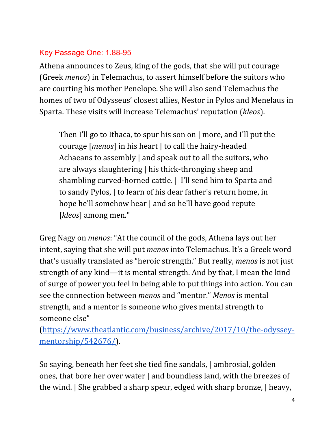#### Key Passage One: 1.88-95

Athena announces to Zeus, king of the gods, that she will put courage (Greek *menos*) in Telemachus, to assert himself before the suitors who are courting his mother Penelope. She will also send Telemachus the homes of two of Odysseus' closest allies, Nestor in Pylos and Menelaus in Sparta. These visits will increase Telemachus' reputation (*kleos*).

Then I'll go to Ithaca, to spur his son on | more, and I'll put the courage [*menos*] in his heart | to call the hairy-headed Achaeans to assembly | and speak out to all the suitors, who are always slaughtering | his thick-thronging sheep and shambling curved-horned cattle. | I'll send him to Sparta and to sandy Pylos, | to learn of his dear father's return home, in hope he'll somehow hear | and so he'll have good repute [*kleos*] among men."

Greg Nagy on *menos*: "At the council of the gods, Athena lays out her intent, saying that she will put *menos* into Telemachus. It's a Greek word that's usually translated as "heroic strength." But really, *menos* is not just strength of any kind—it is mental strength. And by that, I mean the kind of surge of power you feel in being able to put things into action. You can see the connection between *menos* and "mentor." *Menos* is mental strength, and a mentor is someone who gives mental strength to someone else"

([https://www.theatlantic.com/business/archive/2017/10/the-odyssey](https://www.theatlantic.com/business/archive/2017/10/the-odyssey-mentorship/542676/)[mentorship/542676/\)](https://www.theatlantic.com/business/archive/2017/10/the-odyssey-mentorship/542676/).

So saying, beneath her feet she tied fine sandals, | ambrosial, golden ones, that bore her over water | and boundless land, with the breezes of the wind. | She grabbed a sharp spear, edged with sharp bronze, | heavy,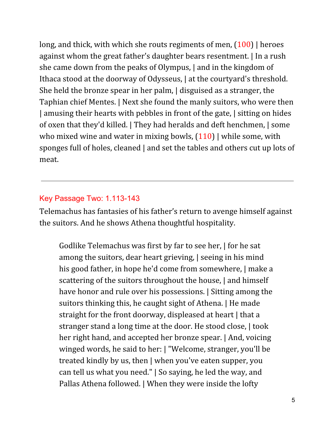long, and thick, with which she routs regiments of men,  $(100)$  | heroes against whom the great father's daughter bears resentment. | In a rush she came down from the peaks of Olympus, | and in the kingdom of Ithaca stood at the doorway of Odysseus,  $\vert$  at the courtyard's threshold. She held the bronze spear in her palm, | disguised as a stranger, the Taphian chief Mentes. | Next she found the manly suitors, who were then | amusing their hearts with pebbles in front of the gate, | sitting on hides of oxen that they'd killed. | They had heralds and deft henchmen, | some who mixed wine and water in mixing bowls,  $(110)$  while some, with sponges full of holes, cleaned | and set the tables and others cut up lots of meat.

#### Key Passage Two: 1.113-143

Telemachus has fantasies of his father's return to avenge himself against the suitors. And he shows Athena thoughtful hospitality.

Godlike Telemachus was first by far to see her, | for he sat among the suitors, dear heart grieving, | seeing in his mind his good father, in hope he'd come from somewhere,  $\vert$  make a scattering of the suitors throughout the house, and himself have honor and rule over his possessions. | Sitting among the suitors thinking this, he caught sight of Athena. | He made straight for the front doorway, displeased at heart | that a stranger stand a long time at the door. He stood close, | took her right hand, and accepted her bronze spear. | And, voicing winged words, he said to her: | "Welcome, stranger, you'll be treated kindly by us, then | when you've eaten supper, you can tell us what you need." | So saying, he led the way, and Pallas Athena followed. | When they were inside the lofty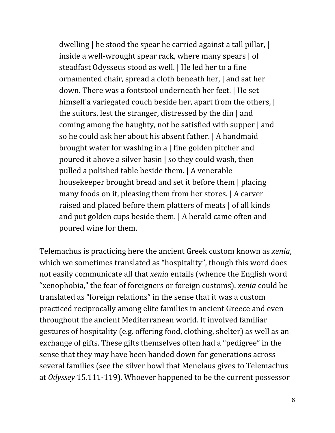dwelling | he stood the spear he carried against a tall pillar, | inside a well-wrought spear rack, where many spears | of steadfast Odysseus stood as well. | He led her to a fine ornamented chair, spread a cloth beneath her, | and sat her down. There was a footstool underneath her feet. | He set himself a variegated couch beside her, apart from the others,  $\vert$ the suitors, lest the stranger, distressed by the din | and coming among the haughty, not be satisfied with supper | and so he could ask her about his absent father. | A handmaid brought water for washing in a | fine golden pitcher and poured it above a silver basin | so they could wash, then pulled a polished table beside them. | A venerable housekeeper brought bread and set it before them | placing many foods on it, pleasing them from her stores. | A carver raised and placed before them platters of meats | of all kinds and put golden cups beside them. | A herald came often and poured wine for them.

Telemachus is practicing here the ancient Greek custom known as *xenia*, which we sometimes translated as "hospitality", though this word does not easily communicate all that *xenia* entails (whence the English word "xenophobia," the fear of foreigners or foreign customs). *xenia* could be translated as "foreign relations" in the sense that it was a custom practiced reciprocally among elite families in ancient Greece and even throughout the ancient Mediterranean world. It involved familiar gestures of hospitality (e.g. offering food, clothing, shelter) as well as an exchange of gifts. These gifts themselves often had a "pedigree" in the sense that they may have been handed down for generations across several families (see the silver bowl that Menelaus gives to Telemachus at *Odyssey* 15.111-119). Whoever happened to be the current possessor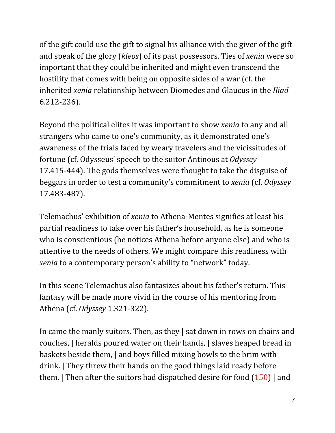of the gift could use the gift to signal his alliance with the giver of the gift and speak of the glory (*kleos*) of its past possessors. Ties of *xenia* were so important that they could be inherited and might even transcend the hostility that comes with being on opposite sides of a war (cf. the inherited *xenia* relationship between Diomedes and Glaucus in the *Iliad* 6.212-236).

Beyond the political elites it was important to show *xenia* to any and all strangers who came to one's community, as it demonstrated one's awareness of the trials faced by weary travelers and the vicissitudes of fortune (cf. Odysseus' speech to the suitor Antinous at *Odyssey* 17.415-444). The gods themselves were thought to take the disguise of beggars in order to test a community's commitment to *xenia* (cf. *Odyssey* 17.483-487).

Telemachus' exhibition of *xenia* to Athena-Mentes signifies at least his partial readiness to take over his father's household, as he is someone who is conscientious (he notices Athena before anyone else) and who is attentive to the needs of others. We might compare this readiness with *xenia* to a contemporary person's ability to "network" today.

In this scene Telemachus also fantasizes about his father's return. This fantasy will be made more vivid in the course of his mentoring from Athena (cf. *Odyssey* 1.321-322).

In came the manly suitors. Then, as they | sat down in rows on chairs and couches, | heralds poured water on their hands, | slaves heaped bread in baskets beside them, | and boys filled mixing bowls to the brim with drink. | They threw their hands on the good things laid ready before them.  $\vert$  Then after the suitors had dispatched desire for food  $(150)$  and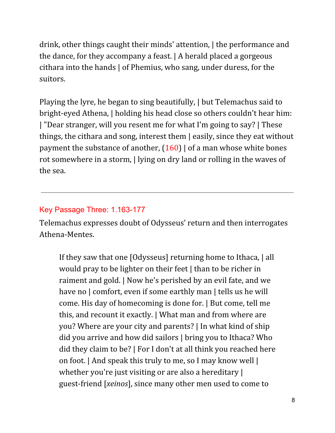drink, other things caught their minds' attention, | the performance and the dance, for they accompany a feast. | A herald placed a gorgeous cithara into the hands | of Phemius, who sang, under duress, for the suitors.

Playing the lyre, he began to sing beautifully, | but Telemachus said to bright-eyed Athena, | holding his head close so others couldn't hear him: | "Dear stranger, will you resent me for what I'm going to say? | These things, the cithara and song, interest them | easily, since they eat without payment the substance of another,  $(160)$  | of a man whose white bones rot somewhere in a storm, | lying on dry land or rolling in the waves of the sea.

### Key Passage Three: 1.163-177

Telemachus expresses doubt of Odysseus' return and then interrogates Athena-Mentes.

If they saw that one [Odysseus] returning home to Ithaca, | all would pray to be lighter on their feet | than to be richer in raiment and gold. | Now he's perished by an evil fate, and we have no | comfort, even if some earthly man | tells us he will come. His day of homecoming is done for. | But come, tell me this, and recount it exactly. | What man and from where are you? Where are your city and parents? | In what kind of ship did you arrive and how did sailors | bring you to Ithaca? Who did they claim to be? | For I don't at all think you reached here on foot. | And speak this truly to me, so I may know well | whether you're just visiting or are also a hereditary | guest-friend [*xeinos*], since many other men used to come to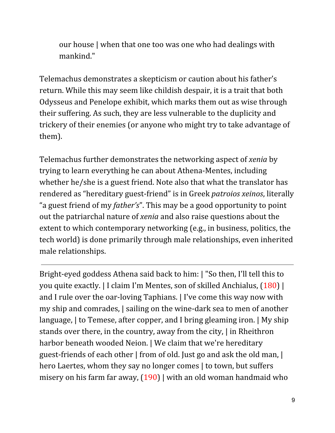our house | when that one too was one who had dealings with mankind."

Telemachus demonstrates a skepticism or caution about his father's return. While this may seem like childish despair, it is a trait that both Odysseus and Penelope exhibit, which marks them out as wise through their suffering. As such, they are less vulnerable to the duplicity and trickery of their enemies (or anyone who might try to take advantage of them).

Telemachus further demonstrates the networking aspect of *xenia* by trying to learn everything he can about Athena-Mentes, including whether he/she is a guest friend. Note also that what the translator has rendered as "hereditary guest-friend" is in Greek *patroios xeinos*, literally "a guest friend of my *father's*". This may be a good opportunity to point out the patriarchal nature of *xenia* and also raise questions about the extent to which contemporary networking (e.g., in business, politics, the tech world) is done primarily through male relationships, even inherited male relationships.

Bright-eyed goddess Athena said back to him: | "So then, I'll tell this to you quite exactly. | I claim I'm Mentes, son of skilled Anchialus, (180) | and I rule over the oar-loving Taphians. | I've come this way now with my ship and comrades, | sailing on the wine-dark sea to men of another language, | to Temese, after copper, and I bring gleaming iron. | My ship stands over there, in the country, away from the city, | in Rheithron harbor beneath wooded Neion. | We claim that we're hereditary guest-friends of each other | from of old. Just go and ask the old man, | hero Laertes, whom they say no longer comes | to town, but suffers misery on his farm far away,  $(190)$  with an old woman handmaid who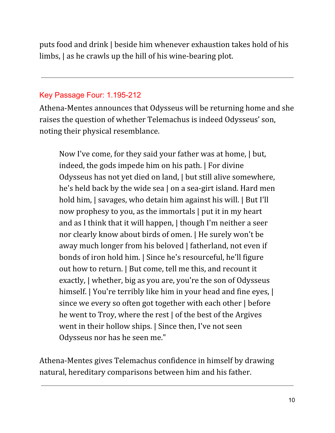puts food and drink | beside him whenever exhaustion takes hold of his limbs, | as he crawls up the hill of his wine-bearing plot.

#### Key Passage Four: 1.195-212

Athena-Mentes announces that Odysseus will be returning home and she raises the question of whether Telemachus is indeed Odysseus' son, noting their physical resemblance.

Now I've come, for they said your father was at home, | but, indeed, the gods impede him on his path. | For divine Odysseus has not yet died on land, | but still alive somewhere, he's held back by the wide sea | on a sea-girt island. Hard men hold him,  $\vert$  savages, who detain him against his will.  $\vert$  But I'll now prophesy to you, as the immortals | put it in my heart and as I think that it will happen, | though I'm neither a seer nor clearly know about birds of omen. | He surely won't be away much longer from his beloved | fatherland, not even if bonds of iron hold him. | Since he's resourceful, he'll figure out how to return. | But come, tell me this, and recount it exactly, | whether, big as you are, you're the son of Odysseus himself. | You're terribly like him in your head and fine eyes, | since we every so often got together with each other | before he went to Troy, where the rest | of the best of the Argives went in their hollow ships. | Since then, I've not seen Odysseus nor has he seen me."

Athena-Mentes gives Telemachus confidence in himself by drawing natural, hereditary comparisons between him and his father.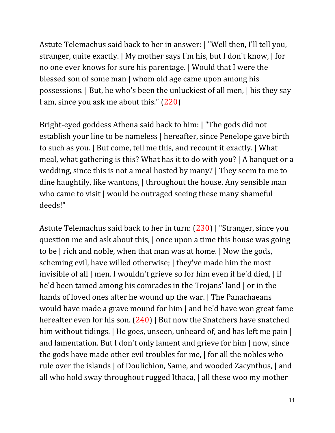Astute Telemachus said back to her in answer: | "Well then, I'll tell you, stranger, quite exactly. | My mother says I'm his, but I don't know, | for no one ever knows for sure his parentage. | Would that I were the blessed son of some man | whom old age came upon among his possessions. | But, he who's been the unluckiest of all men, | his they say I am, since you ask me about this." (220)

Bright-eyed goddess Athena said back to him: | "The gods did not establish your line to be nameless | hereafter, since Penelope gave birth to such as you. | But come, tell me this, and recount it exactly. | What meal, what gathering is this? What has it to do with you? | A banquet or a wedding, since this is not a meal hosted by many? | They seem to me to dine haughtily, like wantons, | throughout the house. Any sensible man who came to visit | would be outraged seeing these many shameful deeds!"

Astute Telemachus said back to her in turn: (230) | "Stranger, since you question me and ask about this, | once upon a time this house was going to be | rich and noble, when that man was at home. | Now the gods, scheming evil, have willed otherwise; | they've made him the most invisible of all | men. I wouldn't grieve so for him even if he'd died, | if he'd been tamed among his comrades in the Trojans' land | or in the hands of loved ones after he wound up the war. The Panachaeans would have made a grave mound for him | and he'd have won great fame hereafter even for his son. (240) | But now the Snatchers have snatched him without tidings. | He goes, unseen, unheard of, and has left me pain | and lamentation. But I don't only lament and grieve for him | now, since the gods have made other evil troubles for me, | for all the nobles who rule over the islands | of Doulichion, Same, and wooded Zacynthus, | and all who hold sway throughout rugged Ithaca, | all these woo my mother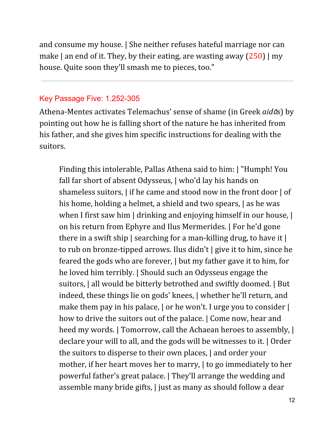and consume my house. | She neither refuses hateful marriage nor can make | an end of it. They, by their eating, are wasting away  $(250)$  | my house. Quite soon they'll smash me to pieces, too."

#### Key Passage Five: 1.252-305

Athena-Mentes activates Telemachus' sense of shame (in Greek *aid*ō*s*) by pointing out how he is falling short of the nature he has inherited from his father, and she gives him specific instructions for dealing with the suitors.

Finding this intolerable, Pallas Athena said to him: | "Humph! You fall far short of absent Odysseus, | who'd lay his hands on shameless suitors, | if he came and stood now in the front door | of his home, holding a helmet, a shield and two spears, as he was when I first saw him | drinking and enjoying himself in our house, | on his return from Ephyre and Ilus Mermerides. | For he'd gone there in a swift ship | searching for a man-killing drug, to have it | to rub on bronze-tipped arrows. Ilus didn't | give it to him, since he feared the gods who are forever, | but my father gave it to him, for he loved him terribly. | Should such an Odysseus engage the suitors, | all would be bitterly betrothed and swiftly doomed. | But indeed, these things lie on gods' knees, | whether he'll return, and make them pay in his palace, | or he won't. I urge you to consider | how to drive the suitors out of the palace. | Come now, hear and heed my words. | Tomorrow, call the Achaean heroes to assembly, | declare your will to all, and the gods will be witnesses to it. | Order the suitors to disperse to their own places, | and order your mother, if her heart moves her to marry, | to go immediately to her powerful father's great palace. | They'll arrange the wedding and assemble many bride gifts, | just as many as should follow a dear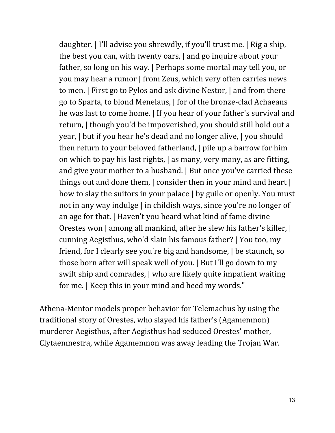daughter. | I'll advise you shrewdly, if you'll trust me. | Rig a ship, the best you can, with twenty oars, | and go inquire about your father, so long on his way. | Perhaps some mortal may tell you, or you may hear a rumor | from Zeus, which very often carries news to men. | First go to Pylos and ask divine Nestor, | and from there go to Sparta, to blond Menelaus, | for of the bronze-clad Achaeans he was last to come home. | If you hear of your father's survival and return, | though you'd be impoverished, you should still hold out a year, | but if you hear he's dead and no longer alive, | you should then return to your beloved fatherland, | pile up a barrow for him on which to pay his last rights, | as many, very many, as are fitting, and give your mother to a husband. | But once you've carried these things out and done them, | consider then in your mind and heart | how to slay the suitors in your palace | by guile or openly. You must not in any way indulge | in childish ways, since you're no longer of an age for that. | Haven't you heard what kind of fame divine Orestes won | among all mankind, after he slew his father's killer, | cunning Aegisthus, who'd slain his famous father? | You too, my friend, for I clearly see you're big and handsome, | be staunch, so those born after will speak well of you. | But I'll go down to my swift ship and comrades, | who are likely quite impatient waiting for me. | Keep this in your mind and heed my words."

Athena-Mentor models proper behavior for Telemachus by using the traditional story of Orestes, who slayed his father's (Agamemnon) murderer Aegisthus, after Aegisthus had seduced Orestes' mother, Clytaemnestra, while Agamemnon was away leading the Trojan War.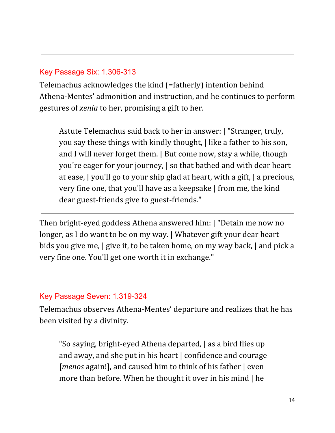#### Key Passage Six: 1.306-313

Telemachus acknowledges the kind (=fatherly) intention behind Athena-Mentes' admonition and instruction, and he continues to perform gestures of *xenia* to her, promising a gift to her.

Astute Telemachus said back to her in answer: | "Stranger, truly, you say these things with kindly thought, | like a father to his son, and I will never forget them. | But come now, stay a while, though you're eager for your journey, | so that bathed and with dear heart at ease, | you'll go to your ship glad at heart, with a gift, | a precious, very fine one, that you'll have as a keepsake | from me, the kind dear guest-friends give to guest-friends."

Then bright-eyed goddess Athena answered him: | "Detain me now no longer, as I do want to be on my way. | Whatever gift your dear heart bids you give me, | give it, to be taken home, on my way back, | and pick a very fine one. You'll get one worth it in exchange."

#### Key Passage Seven: 1.319-324

Telemachus observes Athena-Mentes' departure and realizes that he has been visited by a divinity.

"So saying, bright-eyed Athena departed, | as a bird flies up and away, and she put in his heart | confidence and courage [*menos* again!], and caused him to think of his father | even more than before. When he thought it over in his mind | he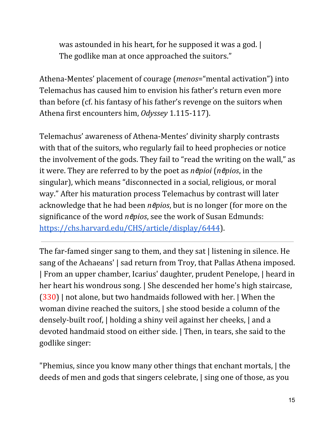was astounded in his heart, for he supposed it was a god. | The godlike man at once approached the suitors."

Athena-Mentes' placement of courage (*menos*="mental activation") into Telemachus has caused him to envision his father's return even more than before (cf. his fantasy of his father's revenge on the suitors when Athena first encounters him, *Odyssey* 1.115-117).

Telemachus' awareness of Athena-Mentes' divinity sharply contrasts with that of the suitors, who regularly fail to heed prophecies or notice the involvement of the gods. They fail to "read the writing on the wall," as it were. They are referred to by the poet as *n*ē*pioi* (*n*ē*pios*, in the singular), which means "disconnected in a social, religious, or moral way." After his maturation process Telemachus by contrast will later acknowledge that he had been *n*ē*pios*, but is no longer (for more on the significance of the word *n*ē*pios*, see the work of Susan Edmunds: <https://chs.harvard.edu/CHS/article/display/6444>).

The far-famed singer sang to them, and they sat | listening in silence. He sang of the Achaeans' | sad return from Troy, that Pallas Athena imposed. | From an upper chamber, Icarius' daughter, prudent Penelope, | heard in her heart his wondrous song. | She descended her home's high staircase, (330) | not alone, but two handmaids followed with her. | When the woman divine reached the suitors, | she stood beside a column of the densely-built roof, | holding a shiny veil against her cheeks, | and a devoted handmaid stood on either side. | Then, in tears, she said to the godlike singer:

"Phemius, since you know many other things that enchant mortals, | the deeds of men and gods that singers celebrate, | sing one of those, as you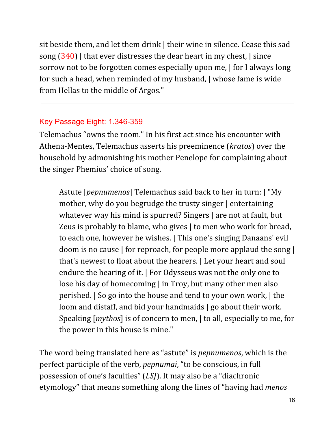sit beside them, and let them drink | their wine in silence. Cease this sad song (340) | that ever distresses the dear heart in my chest, | since sorrow not to be forgotten comes especially upon me, | for I always long for such a head, when reminded of my husband, | whose fame is wide from Hellas to the middle of Argos."

#### Key Passage Eight: 1.346-359

Telemachus "owns the room." In his first act since his encounter with Athena-Mentes, Telemachus asserts his preeminence (*kratos*) over the household by admonishing his mother Penelope for complaining about the singer Phemius' choice of song.

Astute [*pepnumenos*] Telemachus said back to her in turn: | "My mother, why do you begrudge the trusty singer | entertaining whatever way his mind is spurred? Singers | are not at fault, but Zeus is probably to blame, who gives | to men who work for bread, to each one, however he wishes. | This one's singing Danaans' evil doom is no cause | for reproach, for people more applaud the song | that's newest to float about the hearers. | Let your heart and soul endure the hearing of it. | For Odysseus was not the only one to lose his day of homecoming | in Troy, but many other men also perished. | So go into the house and tend to your own work, | the loom and distaff, and bid your handmaids | go about their work. Speaking [*mythos*] is of concern to men, | to all, especially to me, for the power in this house is mine."

The word being translated here as "astute" is *pepnumenos*, which is the perfect participle of the verb, *pepnumai*, "to be conscious, in full possession of one's faculties" (*LSJ*). It may also be a "diachronic etymology" that means something along the lines of "having had *menos*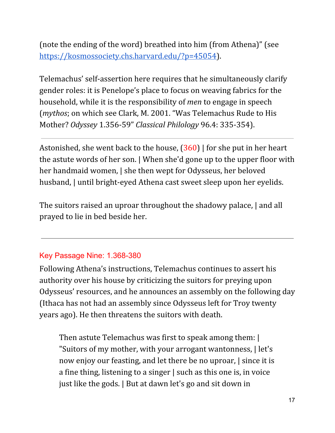(note the ending of the word) breathed into him (from Athena)" (see [https://kosmossociety.chs.harvard.edu/?p=45054\)](https://kosmossociety.chs.harvard.edu/?p=45054).

Telemachus' self-assertion here requires that he simultaneously clarify gender roles: it is Penelope's place to focus on weaving fabrics for the household, while it is the responsibility of *men* to engage in speech (*mythos*; on which see Clark, M. 2001. "Was Telemachus Rude to His Mother? *Odyssey* 1.356-59" *Classical Philology* 96.4: 335-354).

Astonished, she went back to the house,  $(360)$  | for she put in her heart the astute words of her son. | When she'd gone up to the upper floor with her handmaid women,  $\vert$  she then wept for Odysseus, her beloved husband, | until bright-eyed Athena cast sweet sleep upon her eyelids.

The suitors raised an uproar throughout the shadowy palace, | and all prayed to lie in bed beside her.

### Key Passage Nine: 1.368-380

Following Athena's instructions, Telemachus continues to assert his authority over his house by criticizing the suitors for preying upon Odysseus' resources, and he announces an assembly on the following day (Ithaca has not had an assembly since Odysseus left for Troy twenty years ago). He then threatens the suitors with death.

Then astute Telemachus was first to speak among them: | "Suitors of my mother, with your arrogant wantonness, | let's now enjoy our feasting, and let there be no uproar, | since it is a fine thing, listening to a singer | such as this one is, in voice just like the gods. | But at dawn let's go and sit down in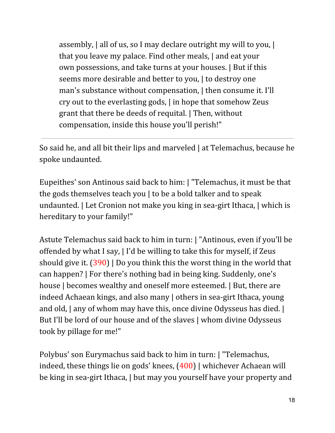assembly, | all of us, so I may declare outright my will to you, | that you leave my palace. Find other meals, | and eat your own possessions, and take turns at your houses. | But if this seems more desirable and better to you, I to destroy one man's substance without compensation, | then consume it. I'll cry out to the everlasting gods, | in hope that somehow Zeus grant that there be deeds of requital. | Then, without compensation, inside this house you'll perish!"

So said he, and all bit their lips and marveled | at Telemachus, because he spoke undaunted.

Eupeithes' son Antinous said back to him: | "Telemachus, it must be that the gods themselves teach you | to be a bold talker and to speak undaunted. | Let Cronion not make you king in sea-girt Ithaca, | which is hereditary to your family!"

Astute Telemachus said back to him in turn: | "Antinous, even if you'll be offended by what I say, | I'd be willing to take this for myself, if Zeus should give it. (390) | Do you think this the worst thing in the world that can happen? | For there's nothing bad in being king. Suddenly, one's house | becomes wealthy and oneself more esteemed. | But, there are indeed Achaean kings, and also many | others in sea-girt Ithaca, young and old, | any of whom may have this, once divine Odysseus has died. | But I'll be lord of our house and of the slaves | whom divine Odysseus took by pillage for me!"

Polybus' son Eurymachus said back to him in turn: | "Telemachus, indeed, these things lie on gods' knees, (400) | whichever Achaean will be king in sea-girt Ithaca, | but may you yourself have your property and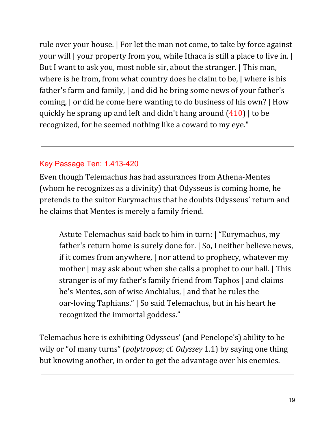rule over your house. | For let the man not come, to take by force against your will | your property from you, while Ithaca is still a place to live in. | But I want to ask you, most noble sir, about the stranger. | This man, where is he from, from what country does he claim to be, | where is his father's farm and family, | and did he bring some news of your father's coming, | or did he come here wanting to do business of his own? | How quickly he sprang up and left and didn't hang around (410) | to be recognized, for he seemed nothing like a coward to my eye."

#### Key Passage Ten: 1.413-420

Even though Telemachus has had assurances from Athena-Mentes (whom he recognizes as a divinity) that Odysseus is coming home, he pretends to the suitor Eurymachus that he doubts Odysseus' return and he claims that Mentes is merely a family friend.

Astute Telemachus said back to him in turn: | "Eurymachus, my father's return home is surely done for. | So, I neither believe news, if it comes from anywhere, | nor attend to prophecy, whatever my mother | may ask about when she calls a prophet to our hall. | This stranger is of my father's family friend from Taphos | and claims he's Mentes, son of wise Anchialus, | and that he rules the oar-loving Taphians." | So said Telemachus, but in his heart he recognized the immortal goddess."

Telemachus here is exhibiting Odysseus' (and Penelope's) ability to be wily or "of many turns" (*polytropos*; cf. *Odyssey* 1.1) by saying one thing but knowing another, in order to get the advantage over his enemies.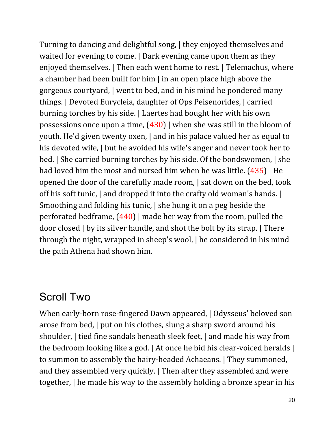Turning to dancing and delightful song, | they enjoyed themselves and waited for evening to come. | Dark evening came upon them as they enjoyed themselves. | Then each went home to rest. | Telemachus, where a chamber had been built for him | in an open place high above the gorgeous courtyard, | went to bed, and in his mind he pondered many things. | Devoted Eurycleia, daughter of Ops Peisenorides, | carried burning torches by his side. | Laertes had bought her with his own possessions once upon a time,  $(430)$  when she was still in the bloom of youth. He'd given twenty oxen, | and in his palace valued her as equal to his devoted wife, | but he avoided his wife's anger and never took her to bed. | She carried burning torches by his side. Of the bondswomen, | she had loved him the most and nursed him when he was little. (435) | He opened the door of the carefully made room, | sat down on the bed, took off his soft tunic, | and dropped it into the crafty old woman's hands. | Smoothing and folding his tunic, | she hung it on a peg beside the perforated bedframe,  $(440)$  | made her way from the room, pulled the door closed | by its silver handle, and shot the bolt by its strap. | There through the night, wrapped in sheep's wool, | he considered in his mind the path Athena had shown him.

## Scroll Two

When early-born rose-fingered Dawn appeared, | Odysseus' beloved son arose from bed, | put on his clothes, slung a sharp sword around his shoulder, | tied fine sandals beneath sleek feet, | and made his way from the bedroom looking like a god. | At once he bid his clear-voiced heralds | to summon to assembly the hairy-headed Achaeans. | They summoned, and they assembled very quickly. | Then after they assembled and were together, | he made his way to the assembly holding a bronze spear in his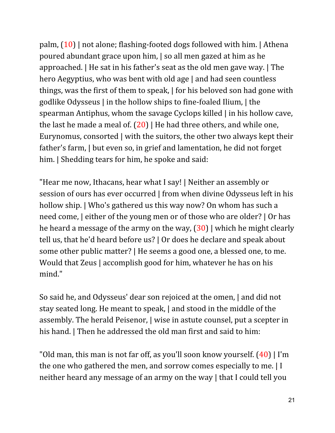palm, (10) | not alone; flashing-footed dogs followed with him. | Athena poured abundant grace upon him, | so all men gazed at him as he approached. | He sat in his father's seat as the old men gave way. | The hero Aegyptius, who was bent with old age | and had seen countless things, was the first of them to speak, | for his beloved son had gone with godlike Odysseus | in the hollow ships to fine-foaled Ilium, | the spearman Antiphus, whom the savage Cyclops killed | in his hollow cave, the last he made a meal of.  $(20)$  | He had three others, and while one, Eurynomus, consorted | with the suitors, the other two always kept their father's farm, | but even so, in grief and lamentation, he did not forget him. I Shedding tears for him, he spoke and said:

"Hear me now, Ithacans, hear what I say! | Neither an assembly or session of ours has ever occurred | from when divine Odysseus left in his hollow ship. | Who's gathered us this way now? On whom has such a need come, | either of the young men or of those who are older? | Or has he heard a message of the army on the way,  $(30)$  which he might clearly tell us, that he'd heard before us? | Or does he declare and speak about some other public matter? | He seems a good one, a blessed one, to me. Would that Zeus | accomplish good for him, whatever he has on his mind."

So said he, and Odysseus' dear son rejoiced at the omen, | and did not stay seated long. He meant to speak, | and stood in the middle of the assembly. The herald Peisenor, | wise in astute counsel, put a scepter in his hand. | Then he addressed the old man first and said to him:

"Old man, this man is not far off, as you'll soon know yourself.  $(40)$  | I'm the one who gathered the men, and sorrow comes especially to me. | I neither heard any message of an army on the way | that I could tell you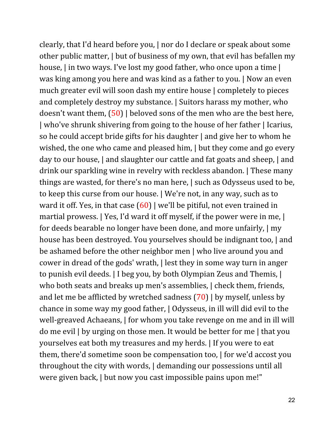clearly, that I'd heard before you, | nor do I declare or speak about some other public matter, | but of business of my own, that evil has befallen my house, I in two ways. I've lost my good father, who once upon a time I was king among you here and was kind as a father to you. | Now an even much greater evil will soon dash my entire house | completely to pieces and completely destroy my substance. | Suitors harass my mother, who doesn't want them, (50) | beloved sons of the men who are the best here, | who've shrunk shivering from going to the house of her father | Icarius, so he could accept bride gifts for his daughter | and give her to whom he wished, the one who came and pleased him, | but they come and go every day to our house, | and slaughter our cattle and fat goats and sheep, | and drink our sparkling wine in revelry with reckless abandon. | These many things are wasted, for there's no man here, | such as Odysseus used to be, to keep this curse from our house. | We're not, in any way, such as to ward it off. Yes, in that case  $(60)$  | we'll be pitiful, not even trained in martial prowess. | Yes, I'd ward it off myself, if the power were in me, | for deeds bearable no longer have been done, and more unfairly, | my house has been destroyed. You yourselves should be indignant too, | and be ashamed before the other neighbor men | who live around you and cower in dread of the gods' wrath, | lest they in some way turn in anger to punish evil deeds. | I beg you, by both Olympian Zeus and Themis, | who both seats and breaks up men's assemblies,  $\vert$  check them, friends, and let me be afflicted by wretched sadness  $(70)$  | by myself, unless by chance in some way my good father, | Odysseus, in ill will did evil to the well-greaved Achaeans, | for whom you take revenge on me and in ill will do me evil | by urging on those men. It would be better for me | that you yourselves eat both my treasures and my herds. | If you were to eat them, there'd sometime soon be compensation too, | for we'd accost you throughout the city with words, | demanding our possessions until all were given back, | but now you cast impossible pains upon me!"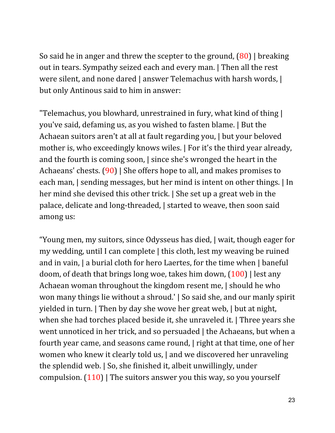So said he in anger and threw the scepter to the ground, (80) | breaking out in tears. Sympathy seized each and every man. | Then all the rest were silent, and none dared | answer Telemachus with harsh words, | but only Antinous said to him in answer:

"Telemachus, you blowhard, unrestrained in fury, what kind of thing | you've said, defaming us, as you wished to fasten blame. | But the Achaean suitors aren't at all at fault regarding you, | but your beloved mother is, who exceedingly knows wiles. | For it's the third year already, and the fourth is coming soon, | since she's wronged the heart in the Achaeans' chests. (90) | She offers hope to all, and makes promises to each man, | sending messages, but her mind is intent on other things. | In her mind she devised this other trick. | She set up a great web in the palace, delicate and long-threaded, | started to weave, then soon said among us:

"Young men, my suitors, since Odysseus has died, | wait, though eager for my wedding, until I can complete | this cloth, lest my weaving be ruined and in vain, | a burial cloth for hero Laertes, for the time when | baneful doom, of death that brings long woe, takes him down,  $(100)$  | lest any Achaean woman throughout the kingdom resent me, | should he who won many things lie without a shroud.' | So said she, and our manly spirit yielded in turn. | Then by day she wove her great web, | but at night, when she had torches placed beside it, she unraveled it. | Three years she went unnoticed in her trick, and so persuaded | the Achaeans, but when a fourth year came, and seasons came round, | right at that time, one of her women who knew it clearly told us, | and we discovered her unraveling the splendid web. | So, she finished it, albeit unwillingly, under compulsion.  $(110)$  | The suitors answer you this way, so you yourself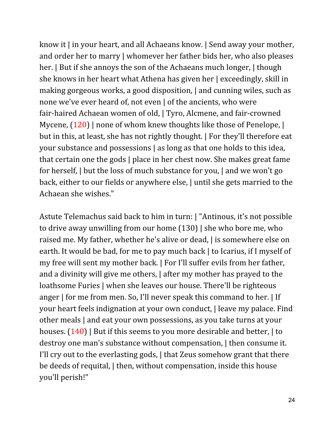know it | in your heart, and all Achaeans know. | Send away your mother, and order her to marry | whomever her father bids her, who also pleases her. | But if she annoys the son of the Achaeans much longer, | though she knows in her heart what Athena has given her | exceedingly, skill in making gorgeous works, a good disposition, | and cunning wiles, such as none we've ever heard of, not even | of the ancients, who were fair-haired Achaean women of old, | Tyro, Alcmene, and fair-crowned Mycene,  $(120)$  | none of whom knew thoughts like those of Penelope, | but in this, at least, she has not rightly thought. | For they'll therefore eat your substance and possessions | as long as that one holds to this idea, that certain one the gods | place in her chest now. She makes great fame for herself, | but the loss of much substance for you, | and we won't go back, either to our fields or anywhere else, | until she gets married to the Achaean she wishes."

Astute Telemachus said back to him in turn: | "Antinous, it's not possible to drive away unwilling from our home (130) | she who bore me, who raised me. My father, whether he's alive or dead, | is somewhere else on earth. It would be bad, for me to pay much back | to Icarius, if I myself of my free will sent my mother back. | For I'll suffer evils from her father, and a divinity will give me others, | after my mother has prayed to the loathsome Furies | when she leaves our house. There'll be righteous anger | for me from men. So, I'll never speak this command to her. | If your heart feels indignation at your own conduct, | leave my palace. Find other meals | and eat your own possessions, as you take turns at your houses.  $(140)$  | But if this seems to you more desirable and better, | to destroy one man's substance without compensation, | then consume it. I'll cry out to the everlasting gods, | that Zeus somehow grant that there be deeds of requital, | then, without compensation, inside this house you'll perish!"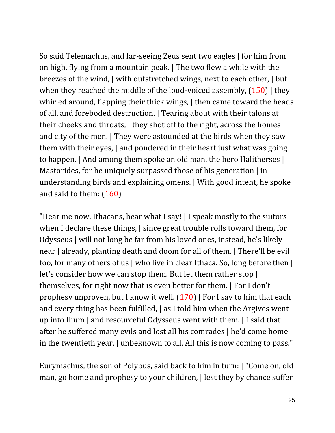So said Telemachus, and far-seeing Zeus sent two eagles | for him from on high, flying from a mountain peak. | The two flew a while with the breezes of the wind, | with outstretched wings, next to each other, | but when they reached the middle of the loud-voiced assembly,  $(150)$  | they whirled around, flapping their thick wings, | then came toward the heads of all, and foreboded destruction. | Tearing about with their talons at their cheeks and throats, | they shot off to the right, across the homes and city of the men. | They were astounded at the birds when they saw them with their eyes, | and pondered in their heart just what was going to happen. | And among them spoke an old man, the hero Halitherses | Mastorides, for he uniquely surpassed those of his generation | in understanding birds and explaining omens. | With good intent, he spoke and said to them: (160)

"Hear me now, Ithacans, hear what I say! | I speak mostly to the suitors when I declare these things, | since great trouble rolls toward them, for Odysseus | will not long be far from his loved ones, instead, he's likely near | already, planting death and doom for all of them. | There'll be evil too, for many others of us | who live in clear Ithaca. So, long before then | let's consider how we can stop them. But let them rather stop | themselves, for right now that is even better for them. | For I don't prophesy unproven, but I know it well.  $(170)$  | For I say to him that each and every thing has been fulfilled, | as I told him when the Argives went up into Ilium | and resourceful Odysseus went with them. | I said that after he suffered many evils and lost all his comrades | he'd come home in the twentieth year, | unbeknown to all. All this is now coming to pass."

Eurymachus, the son of Polybus, said back to him in turn: | "Come on, old man, go home and prophesy to your children, | lest they by chance suffer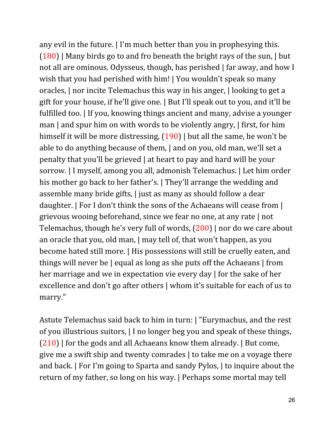any evil in the future. | I'm much better than you in prophesying this.  $(180)$  | Many birds go to and fro beneath the bright rays of the sun, | but not all are ominous. Odysseus, though, has perished | far away, and how I wish that you had perished with him! | You wouldn't speak so many oracles, | nor incite Telemachus this way in his anger, | looking to get a gift for your house, if he'll give one. | But I'll speak out to you, and it'll be fulfilled too. | If you, knowing things ancient and many, advise a younger man | and spur him on with words to be violently angry, | first, for him himself it will be more distressing,  $(190)$  | but all the same, he won't be able to do anything because of them, | and on you, old man, we'll set a penalty that you'll be grieved | at heart to pay and hard will be your sorrow. | I myself, among you all, admonish Telemachus. | Let him order his mother go back to her father's. | They'll arrange the wedding and assemble many bride gifts, | just as many as should follow a dear daughter. | For I don't think the sons of the Achaeans will cease from | grievous wooing beforehand, since we fear no one, at any rate | not Telemachus, though he's very full of words, (200) | nor do we care about an oracle that you, old man, | may tell of, that won't happen, as you become hated still more. | His possessions will still be cruelly eaten, and things will never be | equal as long as she puts off the Achaeans | from her marriage and we in expectation vie every day | for the sake of her excellence and don't go after others | whom it's suitable for each of us to marry."

Astute Telemachus said back to him in turn: | "Eurymachus, and the rest of you illustrious suitors, | I no longer beg you and speak of these things,  $(210)$  | for the gods and all Achaeans know them already. | But come, give me a swift ship and twenty comrades | to take me on a voyage there and back. | For I'm going to Sparta and sandy Pylos, | to inquire about the return of my father, so long on his way. | Perhaps some mortal may tell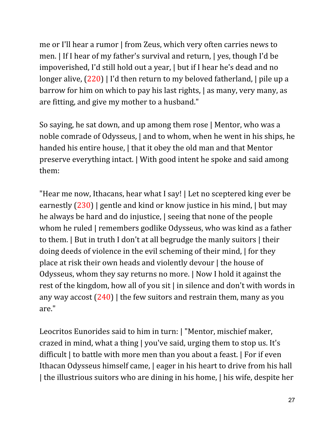me or I'll hear a rumor | from Zeus, which very often carries news to men. | If I hear of my father's survival and return, | yes, though I'd be impoverished, I'd still hold out a year, | but if I hear he's dead and no longer alive,  $(220)$  | I'd then return to my beloved fatherland, | pile up a barrow for him on which to pay his last rights, | as many, very many, as are fitting, and give my mother to a husband."

So saying, he sat down, and up among them rose | Mentor, who was a noble comrade of Odysseus, | and to whom, when he went in his ships, he handed his entire house, I that it obey the old man and that Mentor preserve everything intact. | With good intent he spoke and said among them:

"Hear me now, Ithacans, hear what I say! | Let no sceptered king ever be earnestly  $(230)$  | gentle and kind or know justice in his mind, | but may he always be hard and do injustice, | seeing that none of the people whom he ruled | remembers godlike Odysseus, who was kind as a father to them. | But in truth I don't at all begrudge the manly suitors | their doing deeds of violence in the evil scheming of their mind, | for they place at risk their own heads and violently devour | the house of Odysseus, whom they say returns no more. | Now I hold it against the rest of the kingdom, how all of you sit | in silence and don't with words in any way accost  $(240)$  | the few suitors and restrain them, many as you are."

Leocritos Eunorides said to him in turn: | "Mentor, mischief maker, crazed in mind, what a thing | you've said, urging them to stop us. It's difficult | to battle with more men than you about a feast. | For if even Ithacan Odysseus himself came, | eager in his heart to drive from his hall | the illustrious suitors who are dining in his home, | his wife, despite her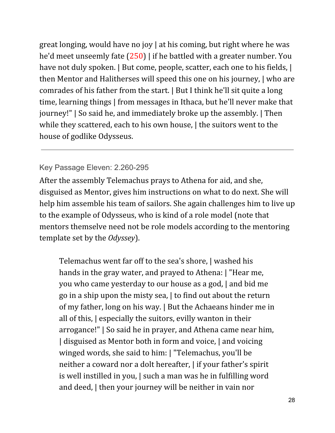great longing, would have no joy | at his coming, but right where he was he'd meet unseemly fate (250) | if he battled with a greater number. You have not duly spoken. | But come, people, scatter, each one to his fields, | then Mentor and Halitherses will speed this one on his journey, | who are comrades of his father from the start. | But I think he'll sit quite a long time, learning things | from messages in Ithaca, but he'll never make that journey!" | So said he, and immediately broke up the assembly. | Then while they scattered, each to his own house,  $\vert$  the suitors went to the house of godlike Odysseus.

#### Key Passage Eleven: 2.260-295

After the assembly Telemachus prays to Athena for aid, and she, disguised as Mentor, gives him instructions on what to do next. She will help him assemble his team of sailors. She again challenges him to live up to the example of Odysseus, who is kind of a role model (note that mentors themselve need not be role models according to the mentoring template set by the *Odyssey*).

Telemachus went far off to the sea's shore, | washed his hands in the gray water, and prayed to Athena: | "Hear me, you who came yesterday to our house as a god, | and bid me go in a ship upon the misty sea, | to find out about the return of my father, long on his way. | But the Achaeans hinder me in all of this, | especially the suitors, evilly wanton in their arrogance!" | So said he in prayer, and Athena came near him, | disguised as Mentor both in form and voice, | and voicing winged words, she said to him: | "Telemachus, you'll be neither a coward nor a dolt hereafter, | if your father's spirit is well instilled in you, | such a man was he in fulfilling word and deed, | then your journey will be neither in vain nor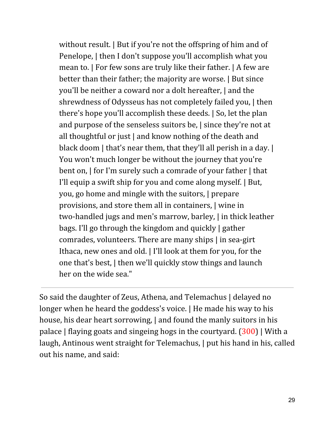without result. | But if you're not the offspring of him and of Penelope, | then I don't suppose you'll accomplish what you mean to. | For few sons are truly like their father. | A few are better than their father; the majority are worse. | But since you'll be neither a coward nor a dolt hereafter, | and the shrewdness of Odysseus has not completely failed you, | then there's hope you'll accomplish these deeds. | So, let the plan and purpose of the senseless suitors be, | since they're not at all thoughtful or just | and know nothing of the death and black doom | that's near them, that they'll all perish in a day. | You won't much longer be without the journey that you're bent on, | for I'm surely such a comrade of your father | that I'll equip a swift ship for you and come along myself. | But, you, go home and mingle with the suitors, | prepare provisions, and store them all in containers, | wine in two-handled jugs and men's marrow, barley, | in thick leather bags. I'll go through the kingdom and quickly | gather comrades, volunteers. There are many ships | in sea-girt Ithaca, new ones and old. | I'll look at them for you, for the one that's best, | then we'll quickly stow things and launch her on the wide sea."

So said the daughter of Zeus, Athena, and Telemachus | delayed no longer when he heard the goddess's voice. | He made his way to his house, his dear heart sorrowing, | and found the manly suitors in his palace | flaying goats and singeing hogs in the courtyard. (300) | With a laugh, Antinous went straight for Telemachus, | put his hand in his, called out his name, and said: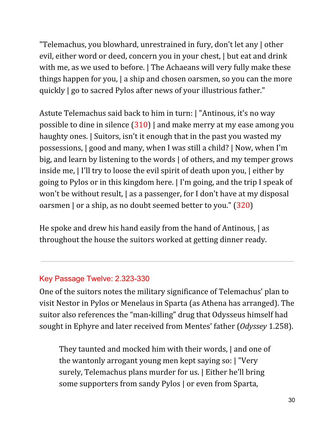"Telemachus, you blowhard, unrestrained in fury, don't let any | other evil, either word or deed, concern you in your chest, | but eat and drink with me, as we used to before. | The Achaeans will very fully make these things happen for you, | a ship and chosen oarsmen, so you can the more quickly | go to sacred Pylos after news of your illustrious father."

Astute Telemachus said back to him in turn: | "Antinous, it's no way possible to dine in silence (310) | and make merry at my ease among you haughty ones. | Suitors, isn't it enough that in the past you wasted my possessions, | good and many, when I was still a child? | Now, when I'm big, and learn by listening to the words | of others, and my temper grows inside me, | I'll try to loose the evil spirit of death upon you, | either by going to Pylos or in this kingdom here. | I'm going, and the trip I speak of won't be without result, | as a passenger, for I don't have at my disposal oarsmen | or a ship, as no doubt seemed better to you." (320)

He spoke and drew his hand easily from the hand of Antinous, | as throughout the house the suitors worked at getting dinner ready.

#### Key Passage Twelve: 2.323-330

One of the suitors notes the military significance of Telemachus' plan to visit Nestor in Pylos or Menelaus in Sparta (as Athena has arranged). The suitor also references the "man-killing" drug that Odysseus himself had sought in Ephyre and later received from Mentes' father (*Odyssey* 1.258).

They taunted and mocked him with their words, | and one of the wantonly arrogant young men kept saying so: | "Very surely, Telemachus plans murder for us. | Either he'll bring some supporters from sandy Pylos | or even from Sparta,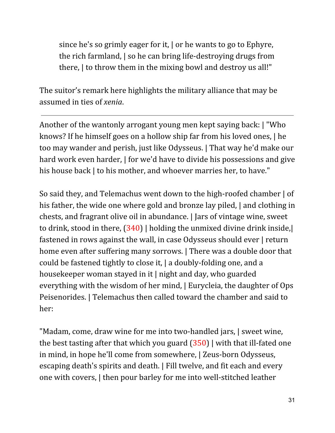since he's so grimly eager for it, | or he wants to go to Ephyre, the rich farmland, | so he can bring life-destroying drugs from there, | to throw them in the mixing bowl and destroy us all!"

The suitor's remark here highlights the military alliance that may be assumed in ties of *xenia*.

Another of the wantonly arrogant young men kept saying back: | "Who knows? If he himself goes on a hollow ship far from his loved ones, | he too may wander and perish, just like Odysseus. | That way he'd make our hard work even harder,  $\vert$  for we'd have to divide his possessions and give his house back | to his mother, and whoever marries her, to have."

So said they, and Telemachus went down to the high-roofed chamber | of his father, the wide one where gold and bronze lay piled, | and clothing in chests, and fragrant olive oil in abundance. | Jars of vintage wine, sweet to drink, stood in there,  $(340)$  | holding the unmixed divine drink inside,| fastened in rows against the wall, in case Odysseus should ever | return home even after suffering many sorrows. | There was a double door that could be fastened tightly to close it, | a doubly-folding one, and a housekeeper woman stayed in it | night and day, who guarded everything with the wisdom of her mind, | Eurycleia, the daughter of Ops Peisenorides. | Telemachus then called toward the chamber and said to her:

"Madam, come, draw wine for me into two-handled jars, | sweet wine, the best tasting after that which you guard  $(350)$  with that ill-fated one in mind, in hope he'll come from somewhere, | Zeus-born Odysseus, escaping death's spirits and death. | Fill twelve, and fit each and every one with covers, | then pour barley for me into well-stitched leather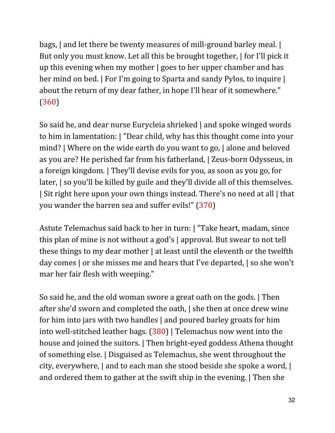bags, | and let there be twenty measures of mill-ground barley meal. | But only you must know. Let all this be brought together, | for I'll pick it up this evening when my mother | goes to her upper chamber and has her mind on bed. | For I'm going to Sparta and sandy Pylos, to inquire | about the return of my dear father, in hope I'll hear of it somewhere." (360)

So said he, and dear nurse Eurycleia shrieked | and spoke winged words to him in lamentation: | "Dear child, why has this thought come into your mind? | Where on the wide earth do you want to go, | alone and beloved as you are? He perished far from his fatherland, | Zeus-born Odysseus, in a foreign kingdom. | They'll devise evils for you, as soon as you go, for later, | so you'll be killed by guile and they'll divide all of this themselves. | Sit right here upon your own things instead. There's no need at all | that you wander the barren sea and suffer evils!" (370)

Astute Telemachus said back to her in turn: | "Take heart, madam, since this plan of mine is not without a god's | approval. But swear to not tell these things to my dear mother | at least until the eleventh or the twelfth day comes | or she misses me and hears that I've departed, | so she won't mar her fair flesh with weeping."

So said he, and the old woman swore a great oath on the gods. | Then after she'd sworn and completed the oath, | she then at once drew wine for him into jars with two handles | and poured barley groats for him into well-stitched leather bags. (380) | Telemachus now went into the house and joined the suitors. | Then bright-eyed goddess Athena thought of something else. | Disguised as Telemachus, she went throughout the city, everywhere, | and to each man she stood beside she spoke a word, | and ordered them to gather at the swift ship in the evening. | Then she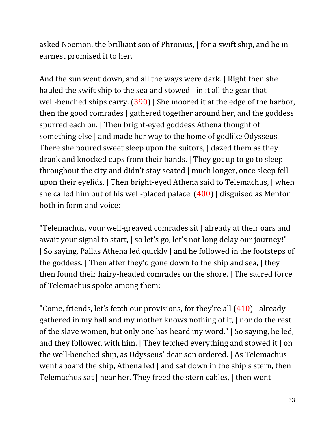asked Noemon, the brilliant son of Phronius, | for a swift ship, and he in earnest promised it to her.

And the sun went down, and all the ways were dark. | Right then she hauled the swift ship to the sea and stowed | in it all the gear that well-benched ships carry. (390) | She moored it at the edge of the harbor, then the good comrades | gathered together around her, and the goddess spurred each on. | Then bright-eyed goddess Athena thought of something else | and made her way to the home of godlike Odysseus. | There she poured sweet sleep upon the suitors, I dazed them as they drank and knocked cups from their hands. | They got up to go to sleep throughout the city and didn't stay seated | much longer, once sleep fell upon their eyelids. | Then bright-eyed Athena said to Telemachus, | when she called him out of his well-placed palace, (400) | disguised as Mentor both in form and voice:

"Telemachus, your well-greaved comrades sit | already at their oars and await your signal to start, | so let's go, let's not long delay our journey!" | So saying, Pallas Athena led quickly | and he followed in the footsteps of the goddess. | Then after they'd gone down to the ship and sea, | they then found their hairy-headed comrades on the shore. | The sacred force of Telemachus spoke among them:

"Come, friends, let's fetch our provisions, for they're all  $(410)$  | already gathered in my hall and my mother knows nothing of it, | nor do the rest of the slave women, but only one has heard my word." | So saying, he led, and they followed with him. | They fetched everything and stowed it | on the well-benched ship, as Odysseus' dear son ordered. | As Telemachus went aboard the ship, Athena led | and sat down in the ship's stern, then Telemachus sat | near her. They freed the stern cables, | then went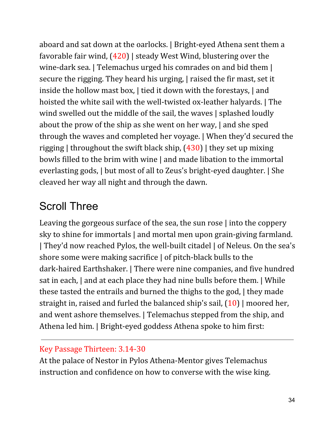aboard and sat down at the oarlocks. | Bright-eyed Athena sent them a favorable fair wind, (420) | steady West Wind, blustering over the wine-dark sea. | Telemachus urged his comrades on and bid them | secure the rigging. They heard his urging, | raised the fir mast, set it inside the hollow mast box, | tied it down with the forestays, | and hoisted the white sail with the well-twisted ox-leather halyards. | The wind swelled out the middle of the sail, the waves | splashed loudly about the prow of the ship as she went on her way, | and she sped through the waves and completed her voyage. | When they'd secured the rigging | throughout the swift black ship,  $(430)$  | they set up mixing bowls filled to the brim with wine | and made libation to the immortal everlasting gods, | but most of all to Zeus's bright-eyed daughter. | She cleaved her way all night and through the dawn.

# Scroll Three

Leaving the gorgeous surface of the sea, the sun rose | into the coppery sky to shine for immortals | and mortal men upon grain-giving farmland. | They'd now reached Pylos, the well-built citadel | of Neleus. On the sea's shore some were making sacrifice | of pitch-black bulls to the dark-haired Earthshaker. | There were nine companies, and five hundred sat in each, | and at each place they had nine bulls before them. | While these tasted the entrails and burned the thighs to the god, | they made straight in, raised and furled the balanced ship's sail, (10) | moored her, and went ashore themselves. | Telemachus stepped from the ship, and Athena led him. | Bright-eyed goddess Athena spoke to him first:

### Key Passage Thirteen: 3.14-30

At the palace of Nestor in Pylos Athena-Mentor gives Telemachus instruction and confidence on how to converse with the wise king.